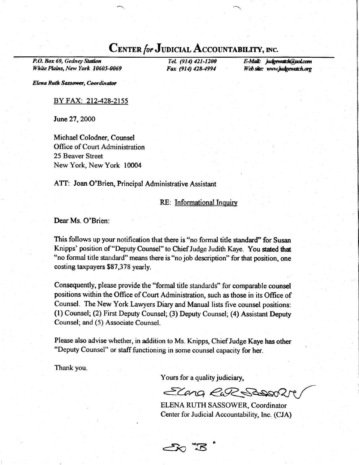## CENTER for JUDICIAL ACCOUNTABILITY, INC.

P.O. Box 69, Gedney Station White PIains, New York 10605-0069

TeL (914) 421-1200 Fax (914) 428-4994 E-Mail: judgewatch@gol.com Web site: www.judgewatch.org

Elena Ruth Sassower, Coordinator

## BY FAX: 212-428-2155

June 27, 2000

Michael Colodner, Counsel Office of Court Administration 25 Beaver Street New York, New York 10004

ATT: Joan O'Brien, Principal Administrative Assistant

## RE: Informational Inquirv

Dear Ms. O'Brien:

This follows up your notification that there is "no formal title standard" for Susan Knipps' position of "Deputy Counsel" to Chief Judge Judith Kaye. You stated that "no formal title standard" means there is "no job description" for that position, one costing taxpayers \$87,378 yearly.

Consequently, please provide the "formal title standards" for comparable counsel positions within the Office of Court Administration, such as those in its Office of Counsel. The New York Lawyers Diary and Manual lists five counsel positions: (l) Counsel; (2) First Deputy Counsel; (3) Deputy Counsel; (4) Assistant Deputy Counsel; and (5) Associate Counsel.

Please also advise whether, in addition to Ms. Knipps, Chief Judge Kaye has other "Deputy Counsel" or staff functioning in some counsel capacity for her.

Thank you.

Yours for a quality judiciary,

do..8

Eleng RuR Saggen

ELENA RUTH SASSOWER, Coordinator Center for Judicial Accountability, Inc. (CJA)

o